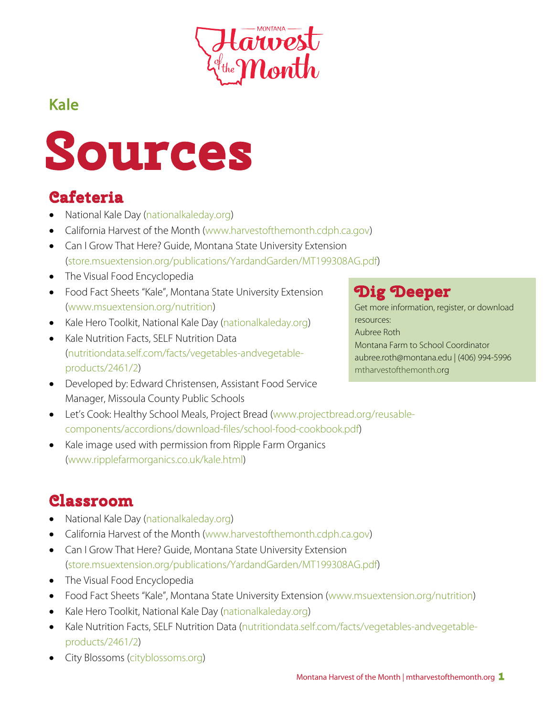

# Kale



- National Kale Day (nationalkaleday.org)
- California Harvest of the Month (www.harvestofthemonth.cdph.ca.gov)
- Can I Grow That Here? Guide, Montana State University Extension (store.msuextension.org/publications/YardandGarden/MT199308AG.pdf)
- The Visual Food Encyclopedia
- Food Fact Sheets "Kale", Montana State University Extension (www.msuextension.org/nutrition)
- Kale Hero Toolkit, National Kale Day (nationalkaleday.org)
- Kale Nutrition Facts, SELF Nutrition Data (nutritiondata.self.com/facts/vegetables-andvegetableproducts/2461/2)
- Developed by: Edward Christensen, Assistant Food Service Manager, Missoula County Public Schools

## **Dig Deeper**

Get more information, register, or download resources: Aubree Roth Montana Farm to School Coordinator aubree.roth@montana.edu | (406) 994-5996 mtharvestofthemonth.org

- Let's Cook: Healthy School Meals, Project Bread (www.projectbread.org/reusablecomponents/accordions/download-files/school-food-cookbook.pdf)
- Kale image used with permission from Ripple Farm Organics (www.ripplefarmorganics.co.uk/kale.html)

## **Classroom**

- National Kale Day (nationalkaleday.org)
- California Harvest of the Month (www.harvestofthemonth.cdph.ca.gov)
- Can I Grow That Here? Guide, Montana State University Extension (store.msuextension.org/publications/YardandGarden/MT199308AG.pdf)
- The Visual Food Encyclopedia
- Food Fact Sheets "Kale", Montana State University Extension (www.msuextension.org/nutrition)
- Kale Hero Toolkit, National Kale Day (nationalkaleday.org)
- Kale Nutrition Facts, SELF Nutrition Data (nutritiondata.self.com/facts/vegetables-andvegetableproducts/2461/2)
- City Blossoms (cityblossoms.org)